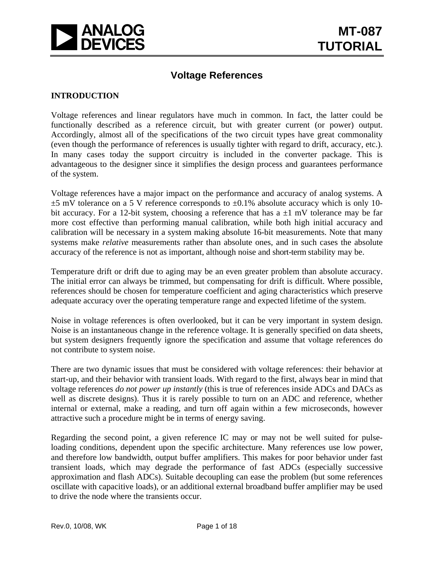

# **Voltage References**

#### **INTRODUCTION**

Voltage references and linear regulators have much in common. In fact, the latter could be functionally described as a reference circuit, but with greater current (or power) output. Accordingly, almost all of the specifications of the two circuit types have great commonality (even though the performance of references is usually tighter with regard to drift, accuracy, etc.). In many cases today the support circuitry is included in the converter package. This is advantageous to the designer since it simplifies the design process and guarantees performance of the system.

Voltage references have a major impact on the performance and accuracy of analog systems. A  $\pm$ 5 mV tolerance on a 5 V reference corresponds to  $\pm$ 0.1% absolute accuracy which is only 10bit accuracy. For a 12-bit system, choosing a reference that has  $a \pm 1$  mV tolerance may be far more cost effective than performing manual calibration, while both high initial accuracy and calibration will be necessary in a system making absolute 16-bit measurements. Note that many systems make *relative* measurements rather than absolute ones, and in such cases the absolute accuracy of the reference is not as important, although noise and short-term stability may be.

Temperature drift or drift due to aging may be an even greater problem than absolute accuracy. The initial error can always be trimmed, but compensating for drift is difficult. Where possible, references should be chosen for temperature coefficient and aging characteristics which preserve adequate accuracy over the operating temperature range and expected lifetime of the system.

Noise in voltage references is often overlooked, but it can be very important in system design. Noise is an instantaneous change in the reference voltage. It is generally specified on data sheets, but system designers frequently ignore the specification and assume that voltage references do not contribute to system noise.

There are two dynamic issues that must be considered with voltage references: their behavior at start-up, and their behavior with transient loads. With regard to the first, always bear in mind that voltage references *do not power up instantly* (this is true of references inside ADCs and DACs as well as discrete designs). Thus it is rarely possible to turn on an ADC and reference, whether internal or external, make a reading, and turn off again within a few microseconds, however attractive such a procedure might be in terms of energy saving.

Regarding the second point, a given reference IC may or may not be well suited for pulseloading conditions, dependent upon the specific architecture. Many references use low power, and therefore low bandwidth, output buffer amplifiers. This makes for poor behavior under fast transient loads, which may degrade the performance of fast ADCs (especially successive approximation and flash ADCs). Suitable decoupling can ease the problem (but some references oscillate with capacitive loads), or an additional external broadband buffer amplifier may be used to drive the node where the transients occur.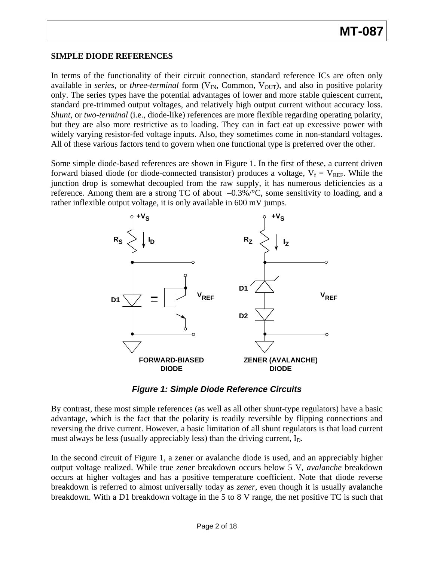#### **SIMPLE DIODE REFERENCES**

In terms of the functionality of their circuit connection, standard reference ICs are often only available in *series*, or *three-terminal* form (V<sub>IN</sub>, Common, V<sub>OUT</sub>), and also in positive polarity only. The series types have the potential advantages of lower and more stable quiescent current, standard pre-trimmed output voltages, and relatively high output current without accuracy loss. *Shunt*, or *two-terminal* (i.e., diode-like) references are more flexible regarding operating polarity, but they are also more restrictive as to loading. They can in fact eat up excessive power with widely varying resistor-fed voltage inputs. Also, they sometimes come in non-standard voltages. All of these various factors tend to govern when one functional type is preferred over the other.

Some simple diode-based references are shown in Figure 1. In the first of these, a current driven forward biased diode (or diode-connected transistor) produces a voltage,  $V_f = V_{REF}$ . While the junction drop is somewhat decoupled from the raw supply, it has numerous deficiencies as a reference. Among them are a strong TC of about  $-0.3\%$  /°C, some sensitivity to loading, and a rather inflexible output voltage, it is only available in 600 mV jumps.



*Figure 1: Simple Diode Reference Circuits* 

By contrast, these most simple references (as well as all other shunt-type regulators) have a basic advantage, which is the fact that the polarity is readily reversible by flipping connections and reversing the drive current. However, a basic limitation of all shunt regulators is that load current must always be less (usually appreciably less) than the driving current,  $I<sub>D</sub>$ .

In the second circuit of Figure 1, a zener or avalanche diode is used, and an appreciably higher output voltage realized. While true *zener* breakdown occurs below 5 V, *avalanche* breakdown occurs at higher voltages and has a positive temperature coefficient. Note that diode reverse breakdown is referred to almost universally today as *zener*, even though it is usually avalanche breakdown. With a D1 breakdown voltage in the 5 to 8 V range, the net positive TC is such that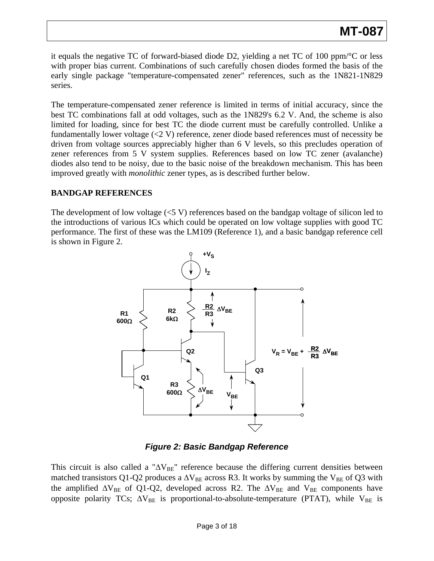it equals the negative TC of forward-biased diode D2, yielding a net TC of 100 ppm/°C or less with proper bias current. Combinations of such carefully chosen diodes formed the basis of the early single package "temperature-compensated zener" references, such as the 1N821-1N829 series.

The temperature-compensated zener reference is limited in terms of initial accuracy, since the best TC combinations fall at odd voltages, such as the 1N829's 6.2 V. And, the scheme is also limited for loading, since for best TC the diode current must be carefully controlled. Unlike a fundamentally lower voltage (<2 V) reference, zener diode based references must of necessity be driven from voltage sources appreciably higher than 6 V levels, so this precludes operation of zener references from 5 V system supplies. References based on low TC zener (avalanche) diodes also tend to be noisy, due to the basic noise of the breakdown mechanism. This has been improved greatly with *monolithic* zener types, as is described further below.

## **BANDGAP REFERENCES**

The development of low voltage  $(<5 V)$  references based on the bandgap voltage of silicon led to the introductions of various ICs which could be operated on low voltage supplies with good TC performance. The first of these was the LM109 (Reference 1), and a basic bandgap reference cell is shown in Figure 2.



*Figure 2: Basic Bandgap Reference* 

This circuit is also called a " $\Delta V_{BE}$ " reference because the differing current densities between matched transistors Q1-Q2 produces a  $\Delta V_{BE}$  across R3. It works by summing the V<sub>BE</sub> of Q3 with the amplified  $\Delta V_{BE}$  of Q1-Q2, developed across R2. The  $\Delta V_{BE}$  and  $V_{BE}$  components have opposite polarity TCs;  $\Delta V_{BE}$  is proportional-to-absolute-temperature (PTAT), while  $V_{BE}$  is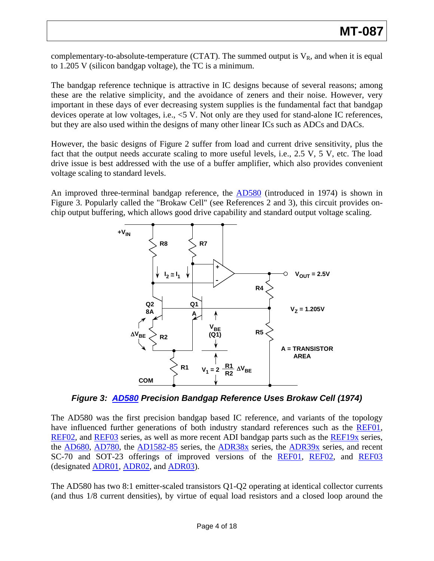complementary-to-absolute-temperature (CTAT). The summed output is  $V_R$ , and when it is equal to 1.205 V (silicon bandgap voltage), the TC is a minimum.

The bandgap reference technique is attractive in IC designs because of several reasons; among these are the relative simplicity, and the avoidance of zeners and their noise. However, very important in these days of ever decreasing system supplies is the fundamental fact that bandgap devices operate at low voltages, i.e., <5 V. Not only are they used for stand-alone IC references, but they are also used within the designs of many other linear ICs such as ADCs and DACs.

However, the basic designs of Figure 2 suffer from load and current drive sensitivity, plus the fact that the output needs accurate scaling to more useful levels, i.e., 2.5 V, 5 V, etc. The load drive issue is best addressed with the use of a buffer amplifier, which also provides convenient voltage scaling to standard levels.

An improved three-terminal bandgap reference, the **AD580** (introduced in 1974) is shown in Figure 3. Popularly called the "Brokaw Cell" (see References 2 and 3), this circuit provides onchip output buffering, which allows good drive capability and standard output voltage scaling.



*Figure 3: [AD580](http://www.analog.com/en/other/militaryaerospace/ad580/products/product.html) Precision Bandgap Reference Uses Brokaw Cell (1974)* 

The AD580 was the first precision bandgap based IC reference, and variants of the topology have influenced further generations of both industry standard references such as the [REF01,](http://www.analog.com/en/other/militaryaerospace/ref01/products/product.html) [REF02,](http://www.analog.com/en/other/militaryaerospace/ref02/products/product.html) and [REF03](http://www.analog.com/en/references/voltage-references/ref03/products/product.html) series, as well as more recent ADI bandgap parts such as the [REF19x](http://www.analog.com/en/references/voltage-references/ref191/products/product.html) series, the [AD680,](http://www.analog.com/en/references/voltage-references/ad680/products/product.html) [AD780](http://www.analog.com/en/other/militaryaerospace/ad780/products/product.html), the [AD1582-85](http://www.analog.com/en/references/voltage-references/ad1582/products/product.html) series, the [ADR38x](http://www.analog.com/en/references/voltage-references/adr380/products/product.html) series, the [ADR39x](http://www.analog.com/en/references/voltage-references/adr390/products/product.html) series, and recent SC-70 and SOT-23 offerings of improved versions of the [REF01,](http://www.analog.com/en/other/militaryaerospace/ref01/products/product.html) [REF02](http://www.analog.com/en/other/militaryaerospace/ref02/products/product.html), and [REF03](http://www.analog.com/en/references/voltage-references/ref03/products/product.html) (designated [ADR01,](http://www.analog.com/en/references/voltage-references/adr01/products/product.html) [ADR02,](http://www.analog.com/en/references/voltage-references/adr01/products/product.html) and [ADR03\)](http://www.analog.com/en/references/voltage-references/adr01/products/product.html).

The AD580 has two 8:1 emitter-scaled transistors Q1-Q2 operating at identical collector currents (and thus 1/8 current densities), by virtue of equal load resistors and a closed loop around the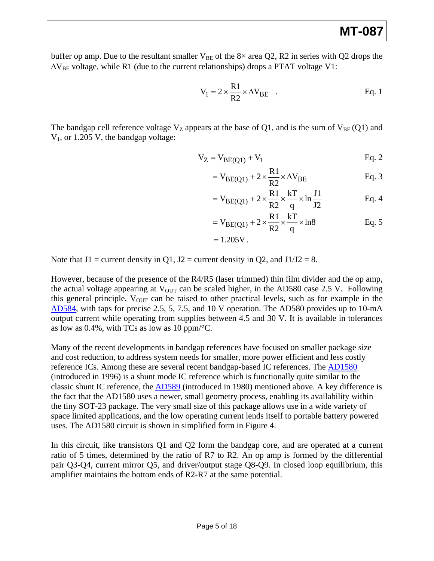buffer op amp. Due to the resultant smaller  $V_{BE}$  of the 8× area Q2, R2 in series with Q2 drops the  $\Delta V_{BE}$  voltage, while R1 (due to the current relationships) drops a PTAT voltage V1:

$$
V_1 = 2 \times \frac{R1}{R2} \times \Delta V_{BE} \quad .
$$
 Eq. 1

The bandgap cell reference voltage  $V_Z$  appears at the base of Q1, and is the sum of  $V_{BE} (Q1)$  and  $V_1$ , or 1.205 V, the bandgap voltage:

$$
V_Z = V_{BE(Q1)} + V_1
$$
 Eq. 2

$$
= V_{BE(Q1)} + 2 \times \frac{R1}{R2} \times \Delta V_{BE}
$$
 Eq. 3

$$
= V_{BE(Q1)} + 2 \times \frac{R1}{R2} \times \frac{kT}{q} \times \ln \frac{J1}{J2}
$$
 Eq. 4

$$
= V_{BE(Q1)} + 2 \times \frac{R1}{R2} \times \frac{kT}{q} \times ln8
$$
 Eq. 5

$$
= 1.205V.
$$

Note that  $J1$  = current density in Q1,  $J2$  = current density in Q2, and  $J1/J2 = 8$ .

However, because of the presence of the R4/R5 (laser trimmed) thin film divider and the op amp, the actual voltage appearing at  $V_{\text{OUT}}$  can be scaled higher, in the AD580 case 2.5 V. Following this general principle,  $V_{\text{OUT}}$  can be raised to other practical levels, such as for example in the [AD584](http://www.analog.com/en/other/militaryaerospace/ad584/products/product.html), with taps for precise 2.5, 5, 7.5, and 10 V operation. The AD580 provides up to 10-mA output current while operating from supplies between 4.5 and 30 V. It is available in tolerances as low as 0.4%, with TCs as low as 10 ppm/°C.

Many of the recent developments in bandgap references have focused on smaller package size and cost reduction, to address system needs for smaller, more power efficient and less costly reference ICs. Among these are several recent bandgap-based IC references. The [AD1580](http://www.analog.com/en/references/voltage-references/ad1580/products/product.html) (introduced in 1996) is a shunt mode IC reference which is functionally quite similar to the classic shunt IC reference, the [AD589](http://www.analog.com/en/other/militaryaerospace/ad589/products/product.html) (introduced in 1980) mentioned above. A key difference is the fact that the AD1580 uses a newer, small geometry process, enabling its availability within the tiny SOT-23 package. The very small size of this package allows use in a wide variety of space limited applications, and the low operating current lends itself to portable battery powered uses. The AD1580 circuit is shown in simplified form in Figure 4.

In this circuit, like transistors Q1 and Q2 form the bandgap core, and are operated at a current ratio of 5 times, determined by the ratio of R7 to R2. An op amp is formed by the differential pair Q3-Q4, current mirror Q5, and driver/output stage Q8-Q9. In closed loop equilibrium, this amplifier maintains the bottom ends of R2-R7 at the same potential.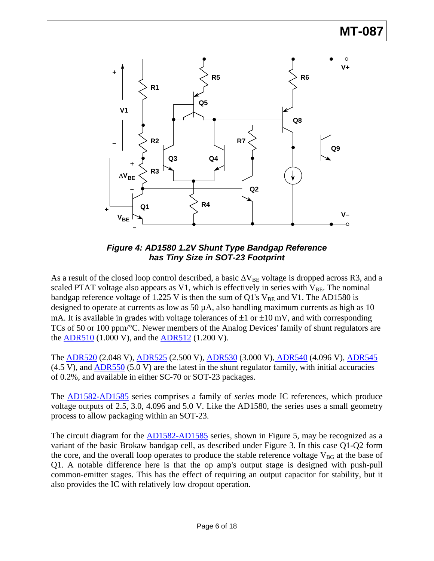



As a result of the closed loop control described, a basic  $\Delta V_{BE}$  voltage is dropped across R3, and a scaled PTAT voltage also appears as V1, which is effectively in series with  $V_{BE}$ . The nominal bandgap reference voltage of 1.225 V is then the sum of Q1's  $V_{BE}$  and V1. The AD1580 is designed to operate at currents as low as 50  $\mu$ A, also handling maximum currents as high as 10 mA. It is available in grades with voltage tolerances of  $\pm 1$  or  $\pm 10$  mV, and with corresponding TCs of 50 or 100 ppm/°C. Newer members of the Analog Devices' family of shunt regulators are the [ADR510](http://www.analog.com/en/references/voltage-references/adr510/products/product.html) (1.000 V), and the [ADR512](http://www.analog.com/en/references/voltage-references/adr512/products/product.html) (1.200 V).

The [ADR520](http://www.analog.com/en/references/voltage-references/adr520/products/product.html) (2.048 V), [ADR525](http://www.analog.com/en/references/voltage-references/adr520/products/product.html) (2.500 V), [ADR530](http://www.analog.com/en/references/voltage-references/adr520/products/product.html) (3.000 V), [ADR540](http://www.analog.com/en/references/voltage-references/adr520/products/product.html) (4.096 V), [ADR545](http://www.analog.com/en/references/voltage-references/adr520/products/product.html)  $(4.5 V)$ , and  $ADR550 (5.0 V)$  are the latest in the shunt regulator family, with initial accuracies of 0.2%, and available in either SC-70 or SOT-23 packages.

The [AD1582-AD1585](http://www.analog.com/en/references/voltage-references/ad1582/products/product.html) series comprises a family of *series* mode IC references, which produce voltage outputs of 2.5, 3.0, 4.096 and 5.0 V. Like the AD1580, the series uses a small geometry process to allow packaging within an SOT-23.

The circuit diagram for the [AD1582-AD1585](http://www.analog.com/en/references/voltage-references/ad1582/products/product.html) series, shown in Figure 5, may be recognized as a variant of the basic Brokaw bandgap cell, as described under Figure 3. In this case Q1-Q2 form the core, and the overall loop operates to produce the stable reference voltage  $V_{BG}$  at the base of Q1. A notable difference here is that the op amp's output stage is designed with push-pull common-emitter stages. This has the effect of requiring an output capacitor for stability, but it also provides the IC with relatively low dropout operation.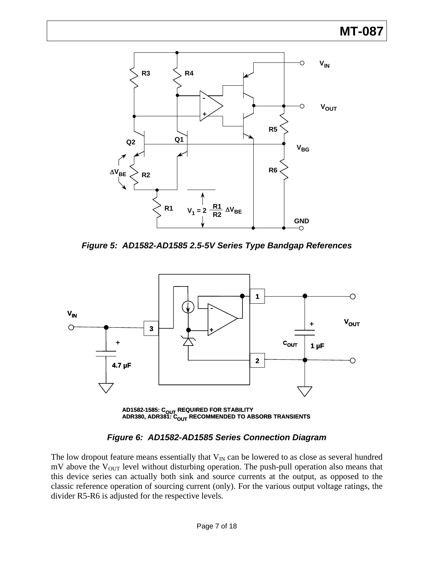# **MT-087**



*Figure 5: AD1582-AD1585 2.5-5V Series Type Bandgap References* 



# *Figure 6: AD1582-AD1585 Series Connection Diagram*

The low dropout feature means essentially that  $V_{IN}$  can be lowered to as close as several hundred  $mV$  above the  $V<sub>OUT</sub>$  level without disturbing operation. The push-pull operation also means that this device series can actually both sink and source currents at the output, as opposed to the classic reference operation of sourcing current (only). For the various output voltage ratings, the divider R5-R6 is adjusted for the respective levels.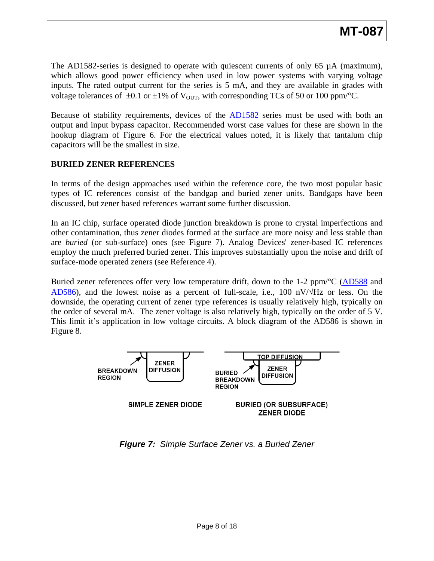The AD1582-series is designed to operate with quiescent currents of only 65  $\mu$ A (maximum), which allows good power efficiency when used in low power systems with varying voltage inputs. The rated output current for the series is 5 mA, and they are available in grades with voltage tolerances of  $\pm 0.1$  or  $\pm 1\%$  of V<sub>OUT</sub>, with corresponding TCs of 50 or 100 ppm<sup>/o</sup>C.

Because of stability requirements, devices of the [AD1582](http://www.analog.com/en/references/voltage-references/ad1582/products/product.html) series must be used with both an output and input bypass capacitor. Recommended worst case values for these are shown in the hookup diagram of Figure 6. For the electrical values noted, it is likely that tantalum chip apacitors will be the smallest in size. c

#### **URIED ZENER REFERENCES B**

types of IC references consist of the bandgap and buried zener units. Bandgaps have been discussed, but zener based references warrant some further discussion. In terms of the design approaches used within the reference core, the two most popular basic

employ the much preferred buried zener. This improves substantially upon the noise and drift of surface-mode operated zeners (see Reference 4). In an IC chip, surface operated diode junction breakdown is prone to crystal imperfections and other contamination, thus zener diodes formed at the surface are more noisy and less stable than are *buried* (or sub-surface) ones (see Figure 7). Analog Devices' zener-based IC references

Buried zener references offer very low temperature drift, down to the 1-2 ppm/°C [\(AD588](http://www.analog.com/en/other/militaryaerospace/ad588/products/product.html) and  $AD586$ ), and the lowest noise as a percent of full-scale, i.e., 100 nV/ $\sqrt{Hz}$  or less. On the downside, the operating current of zener type references is usually relatively high, typically on the order of several mA. The zener voltage is also relatively high, typically on the order of 5 V. This limit it's application in low voltage circuits. A block diagram of the AD586 is shown in Figure 8.



*Figure 7: Simple Surface Zener vs. a Buried Zener*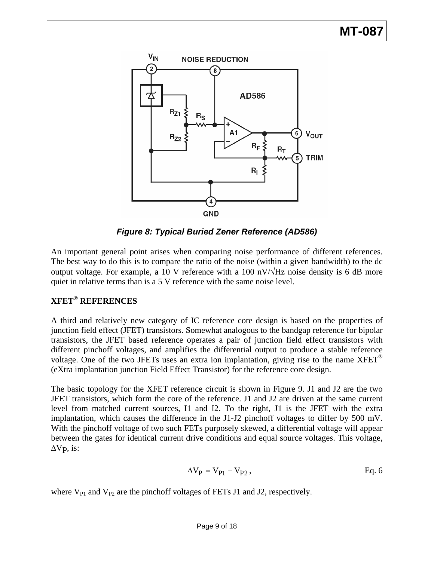

*Figure 8: Typical Buried Zener Reference (AD586)* 

An important general point arises when comparing noise performance of different references. The best way to do this is to compare the ratio of the noise (within a given bandwidth) to the dc output voltage. For example, a 10 V reference with a 100 nV/ $\forall$ Hz noise density is 6 dB more quiet in relative terms than is a 5 V reference with the same noise level.

# **XFET® REFERENCES**

A third and relatively new category of IC reference core design is based on the properties of junction field effect (JFET) transistors. Somewhat analogous to the bandgap reference for bipolar transistors, the JFET based reference operates a pair of junction field effect transistors with different pinchoff voltages, and amplifies the differential output to produce a stable reference voltage. One of the two JFETs uses an extra ion implantation, giving rise to the name  $XFET^{\otimes}$ (eXtra implantation junction Field Effect Transistor) for the reference core design.

The basic topology for the XFET reference circuit is shown in Figure 9. J1 and J2 are the two JFET transistors, which form the core of the reference. J1 and J2 are driven at the same current level from matched current sources, I1 and I2. To the right, J1 is the JFET with the extra implantation, which causes the difference in the J1-J2 pinchoff voltages to differ by 500 mV. With the pinchoff voltage of two such FETs purposely skewed, a differential voltage will appear between the gates for identical current drive conditions and equal source voltages. This voltage,  $\Delta V$ <sub>P</sub>, is:

$$
\Delta V_P = V_{P1} - V_{P2},
$$
 Eq. 6

where  $V_{P1}$  and  $V_{P2}$  are the pinchoff voltages of FETs J1 and J2, respectively.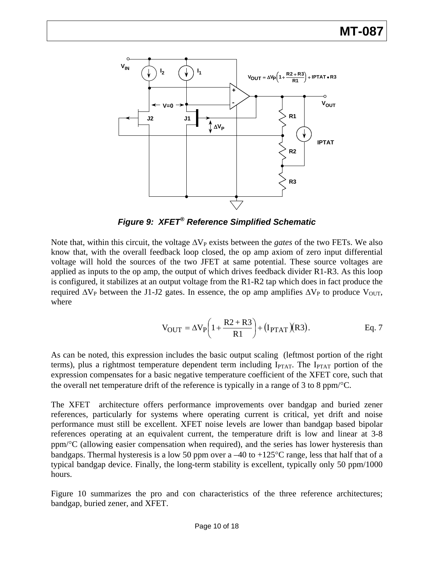

*Figure 9: XFET® Reference Simplified Schematic* 

Note that, within this circuit, the voltage  $\Delta V_P$  exists between the *gates* of the two FETs. We also know that, with the overall feedback loop closed, the op amp axiom of zero input differential voltage will hold the sources of the two JFET at same potential. These source voltages are applied as inputs to the op amp, the output of which drives feedback divider R1-R3. As this loop is configured, it stabilizes at an output voltage from the R1-R2 tap which does in fact produce the required  $\Delta V_P$  between the J1-J2 gates. In essence, the op amp amplifies  $\Delta V_P$  to produce  $V_{\text{OUT}}$ , where

$$
V_{OUT} = \Delta V_P \left( 1 + \frac{R2 + R3}{R1} \right) + (I_{PTAT})(R3). \qquad Eq. 7
$$

As can be noted, this expression includes the basic output scaling (leftmost portion of the right terms), plus a rightmost temperature dependent term including  $I_{\text{PTAT}}$ . The  $I_{\text{PTAT}}$  portion of the expression compensates for a basic negative temperature coefficient of the XFET core, such that the overall net temperature drift of the reference is typically in a range of 3 to 8 ppm/°C.

The XFET architecture offers performance improvements over bandgap and buried zener references, particularly for systems where operating current is critical, yet drift and noise performance must still be excellent. XFET noise levels are lower than bandgap based bipolar references operating at an equivalent current, the temperature drift is low and linear at 3-8 ppm/°C (allowing easier compensation when required), and the series has lower hysteresis than bandgaps. Thermal hysteresis is a low 50 ppm over a  $-40$  to  $+125^{\circ}$ C range, less that half that of a typical bandgap device. Finally, the long-term stability is excellent, typically only 50 ppm/1000 hours.

Figure 10 summarizes the pro and con characteristics of the three reference architectures; bandgap, buried zener, and XFET.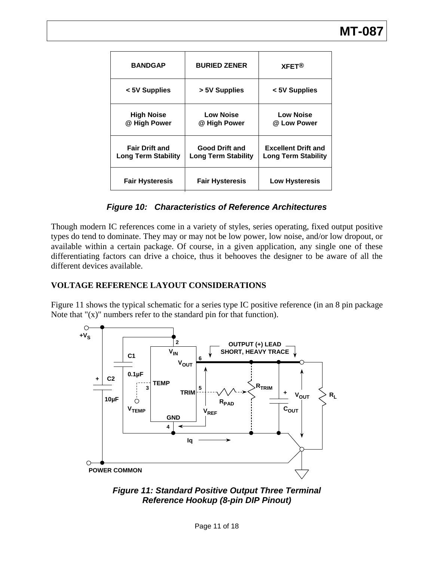| <b>BANDGAP</b>                                      | <b>BURIED ZENER</b>                                 | <b>XFFT<sup>®</sup></b>                                  |
|-----------------------------------------------------|-----------------------------------------------------|----------------------------------------------------------|
| < 5V Supplies                                       | > 5V Supplies                                       | < 5V Supplies                                            |
| <b>High Noise</b><br>@ High Power                   | <b>Low Noise</b><br>@ High Power                    | <b>Low Noise</b><br>@ Low Power                          |
| <b>Fair Drift and</b><br><b>Long Term Stability</b> | <b>Good Drift and</b><br><b>Long Term Stability</b> | <b>Excellent Drift and</b><br><b>Long Term Stability</b> |
| <b>Fair Hysteresis</b>                              | <b>Fair Hysteresis</b>                              | <b>Low Hysteresis</b>                                    |

#### *Figure 10: Characteristics of Reference Architectures*

Though modern IC references come in a variety of styles, series operating, fixed output positive types do tend to dominate. They may or may not be low power, low noise, and/or low dropout, or available within a certain package. Of course, in a given application, any single one of these differentiating factors can drive a choice, thus it behooves the designer to be aware of all the different devices available.

#### **VOLTAGE REFERENCE LAYOUT CONSIDERATIONS**

Figure 11 shows the typical schematic for a series type IC positive reference (in an 8 pin package Note that " $(x)$ " numbers refer to the standard pin for that function).



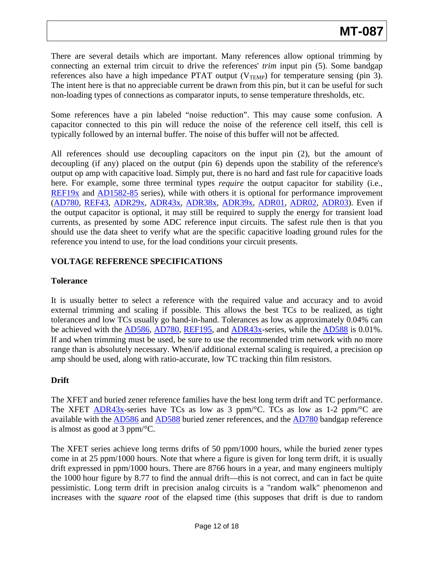There are several details which are important. Many references allow optional trimming by connecting an external trim circuit to drive the references' *trim* input pin (5). Some bandgap references also have a high impedance PTAT output  $(V_{\text{TRMP}})$  for temperature sensing (pin 3). The intent here is that no appreciable current be drawn from this pin, but it can be useful for such non-loading types of connections as comparator inputs, to sense temperature thresholds, etc.

Some references have a pin labeled "noise reduction". This may cause some confusion. A capacitor connected to this pin will reduce the noise of the reference cell itself, this cell is typically followed by an internal buffer. The noise of this buffer will not be affected.

All references should use decoupling capacitors on the input pin (2), but the amount of decoupling (if any) placed on the output (pin 6) depends upon the stability of the reference's output op amp with capacitive load. Simply put, there is no hard and fast rule for capacitive loads here. For example, some three terminal types *require* the output capacitor for stability (i.e., [REF19x](http://www.analog.com/en/references/voltage-references/ref191/products/product.html) and [AD1582-85](http://www.analog.com/en/references/voltage-references/ad1582/products/product.html) series), while with others it is optional for performance improvement ([AD780](http://www.analog.com/en/other/militaryaerospace/ad780/products/product.html), [REF43,](http://www.analog.com/en/references/voltage-references/ref43/products/product.html) [ADR29x,](http://www.analog.com/en/references/voltage-references/adr291/products/product.html) [ADR43x,](http://www.analog.com/en/references/voltage-references/adr430/products/product.html) [ADR38x,](http://www.analog.com/en/references/voltage-references/adr380/products/product.html) [ADR39x,](http://www.analog.com/en/references/voltage-references/adr390/products/product.html) [ADR01,](http://www.analog.com/en/references/voltage-references/adr01/products/product.html) [ADR02,](http://www.analog.com/en/references/voltage-references/adr02/products/product.html) [ADR03\)](http://www.analog.com/en/references/voltage-references/adr03/products/product.html). Even if the output capacitor is optional, it may still be required to supply the energy for transient load currents, as presented by some ADC reference input circuits. The safest rule then is that you should use the data sheet to verify what are the specific capacitive loading ground rules for the reference you intend to use, for the load conditions your circuit presents.

## **VOLTAGE REFERENCE SPECIFICATIONS**

#### **Tolerance**

It is usually better to select a reference with the required value and accuracy and to avoid external trimming and scaling if possible. This allows the best TCs to be realized, as tight tolerances and low TCs usually go hand-in-hand. Tolerances as low as approximately 0.04% can be achieved with the  $\overline{AD586}$  $\overline{AD586}$  $\overline{AD586}$ ,  $\overline{AD780}$ ,  $\overline{REF195}$  $\overline{REF195}$  $\overline{REF195}$ , and  $\overline{ADR43x}$ -series, while the  $\overline{AD588}$  $\overline{AD588}$  $\overline{AD588}$  is 0.01%. If and when trimming must be used, be sure to use the recommended trim network with no more range than is absolutely necessary. When/if additional external scaling is required, a precision op amp should be used, along with ratio-accurate, low TC tracking thin film resistors.

## **Drift**

The XFET and buried zener reference families have the best long term drift and TC performance. The XFET [ADR43x](http://www.analog.com/en/references/voltage-references/adr430/products/product.html)-series have TCs as low as 3 ppm/ $\rm ^{\circ}C$ . TCs as low as 1-2 ppm/ $\rm ^{\circ}C$  are available with the [AD586](http://www.analog.com/en/other/militaryaerospace/ad586/products/product.html) and [AD588](http://www.analog.com/en/other/militaryaerospace/ad588/products/product.html) buried zener references, and the [AD780](http://www.analog.com/en/other/militaryaerospace/ad780/products/product.html) bandgap reference is almost as good at 3 ppm/°C.

The XFET series achieve long terms drifts of 50 ppm/1000 hours, while the buried zener types come in at 25 ppm/1000 hours. Note that where a figure is given for long term drift, it is usually drift expressed in ppm/1000 hours. There are 8766 hours in a year, and many engineers multiply the 1000 hour figure by 8.77 to find the annual drift—this is not correct, and can in fact be quite pessimistic. Long term drift in precision analog circuits is a "random walk" phenomenon and increases with the *square root* of the elapsed time (this supposes that drift is due to random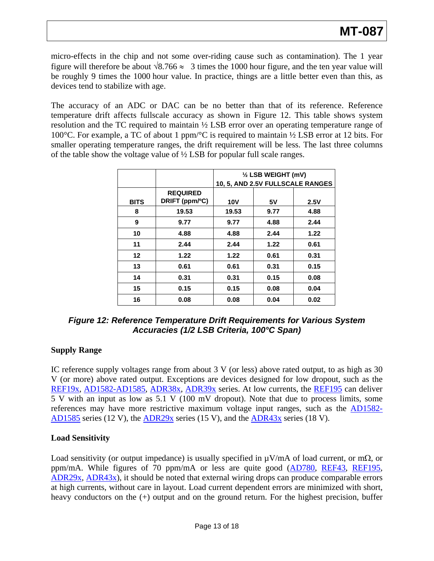micro-effects in the chip and not some over-riding cause such as contamination). The 1 year figure will therefore be about  $\sqrt{8.766} \approx 3$  times the 1000 hour figure, and the ten year value will be roughly 9 times the 1000 hour value. In practice, things are a little better even than this, as devices tend to stabilize with age.

The accuracy of an ADC or DAC can be no better than that of its reference. Reference temperature drift affects fullscale accuracy as shown in Figure 12. This table shows system resolution and the TC required to maintain ½ LSB error over an operating temperature range of 100°C. For example, a TC of about 1 ppm/°C is required to maintain ½ LSB error at 12 bits. For smaller operating temperature ranges, the drift requirement will be less. The last three columns of the table show the voltage value of ½ LSB for popular full scale ranges.

|             |                                   | $\frac{1}{2}$ LSB WEIGHT (mV)    |      |      |
|-------------|-----------------------------------|----------------------------------|------|------|
|             |                                   | 10, 5, AND 2.5V FULLSCALE RANGES |      |      |
| <b>BITS</b> | <b>REQUIRED</b><br>DRIFT (ppm/°C) |                                  |      |      |
|             |                                   | <b>10V</b>                       | 5V   | 2.5V |
| 8           | 19.53                             | 19.53                            | 9.77 | 4.88 |
| 9           | 9.77                              | 9.77                             | 4.88 | 2.44 |
| 10          | 4.88                              | 4.88                             | 2.44 | 1.22 |
| 11          | 2.44                              | 2.44                             | 1.22 | 0.61 |
| 12          | 1.22                              | 1.22                             | 0.61 | 0.31 |
| 13          | 0.61                              | 0.61                             | 0.31 | 0.15 |
| 14          | 0.31                              | 0.31                             | 0.15 | 0.08 |
| 15          | 0.15                              | 0.15                             | 0.08 | 0.04 |
| 16          | 0.08                              | 0.08                             | 0.04 | 0.02 |

*Figure 12: Reference Temperature Drift Requirements for Various System Accuracies (1/2 LSB Criteria, 100°C Span)*

## **Supply Range**

IC reference supply voltages range from about 3 V (or less) above rated output, to as high as 30 V (or more) above rated output. Exceptions are devices designed for low dropout, such as the [REF19x,](http://www.analog.com/en/references/voltage-references/ref191/products/product.html) [AD1582-AD1585](http://www.analog.com/en/references/voltage-references/ad1582/products/product.html), [ADR38x](http://www.analog.com/en/references/voltage-references/adr380/products/product.html), [ADR39x](http://www.analog.com/en/references/voltage-references/adr390/products/product.html) series. At low currents, the [REF195](http://www.analog.com/en/references/voltage-references/ref195/products/product.html) can deliver 5 V with an input as low as 5.1 V (100 mV dropout). Note that due to process limits, some references may have more restrictive maximum voltage input ranges, such as the [AD1582-](http://www.analog.com/en/references/voltage-references/ad1582/products/product.html) [AD1585](http://www.analog.com/en/references/voltage-references/ad1582/products/product.html) series (12 V), the [ADR29x](http://www.analog.com/en/references/voltage-references/adr291/products/product.html) series (15 V), and the [ADR43x](http://www.analog.com/en/references/voltage-references/adr430/products/product.html) series (18 V).

#### **Load Sensitivity**

Load sensitivity (or output impedance) is usually specified in  $\mu V/mA$  of load current, or m $\Omega$ , or ppm/mA. While figures of 70 ppm/mA or less are quite good [\(AD780](http://www.analog.com/en/other/militaryaerospace/ad780/products/product.html), [REF43,](http://www.analog.com/en/references/voltage-references/ref43/products/product.html) [REF195,](http://www.analog.com/en/references/voltage-references/ref195/products/product.html) [ADR29x](http://www.analog.com/en/obsolete/adr290/products/product.html), [ADR43x\)](http://www.analog.com/en/references/voltage-references/adr430/products/product.html), it should be noted that external wiring drops can produce comparable errors at high currents, without care in layout. Load current dependent errors are minimized with short, heavy conductors on the  $(+)$  output and on the ground return. For the highest precision, buffer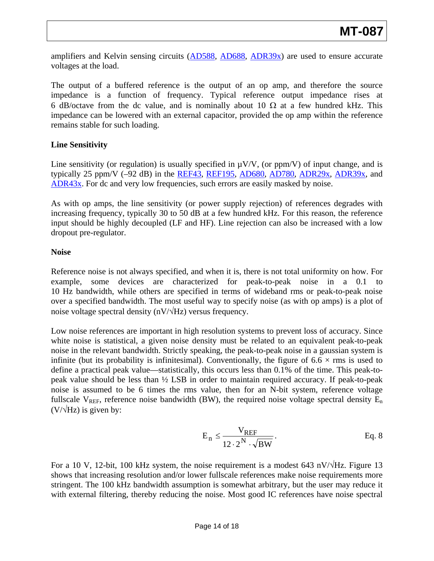amplifiers and Kelvin sensing circuits ([AD588](http://www.analog.com/en/other/militaryaerospace/ad588/products/product.html), [AD688,](http://www.analog.com/en/other/militaryaerospace/ad688/products/product.html) [ADR39x\)](http://www.analog.com/en/references/voltage-references/adr390/products/product.html) are used to ensure accurate voltages at the load.

The output of a buffered reference is the output of an op amp, and therefore the source impedance is a function of frequency. Typical reference output impedance rises at 6 dB/octave from the dc value, and is nominally about 10  $\Omega$  at a few hundred kHz. This impedance can be lowered with an external capacitor, provided the op amp within the reference remains stable for such loading.

## **Line Sensitivity**

Line sensitivity (or regulation) is usually specified in  $\mu V/V$ , (or ppm/V) of input change, and is typically 25 ppm/V (–92 dB) in the [REF43](http://www.analog.com/en/references/voltage-references/ref43/products/product.html), [REF195](http://www.analog.com/en/references/voltage-references/ref195/products/product.html), [AD680](http://www.analog.com/en/references/voltage-references/ad680/products/product.html), [AD780](http://www.analog.com/en/other/militaryaerospace/ad780/products/product.html), [ADR29x,](http://www.analog.com/en/references/voltage-references/adr291/products/product.html) [ADR39x,](http://www.analog.com/en/references/voltage-references/adr390/products/product.html) and [ADR43x](http://www.analog.com/en/references/voltage-references/adr430/products/product.html). For dc and very low frequencies, such errors are easily masked by noise.

As with op amps, the line sensitivity (or power supply rejection) of references degrades with increasing frequency, typically 30 to 50 dB at a few hundred kHz. For this reason, the reference input should be highly decoupled (LF and HF). Line rejection can also be increased with a low dropout pre-regulator.

#### **Noise**

Reference noise is not always specified, and when it is, there is not total uniformity on how. For example, some devices are characterized for peak-to-peak noise in a 0.1 to 10 Hz bandwidth, while others are specified in terms of wideband rms or peak-to-peak noise over a specified bandwidth. The most useful way to specify noise (as with op amps) is a plot of noise voltage spectral density (nV/ $\forall$ Hz) versus frequency.

Low noise references are important in high resolution systems to prevent loss of accuracy. Since white noise is statistical, a given noise density must be related to an equivalent peak-to-peak noise in the relevant bandwidth. Strictly speaking, the peak-to-peak noise in a gaussian system is infinite (but its probability is infinitesimal). Conventionally, the figure of  $6.6 \times$  rms is used to define a practical peak value—statistically, this occurs less than 0.1% of the time. This peak-topeak value should be less than ½ LSB in order to maintain required accuracy. If peak-to-peak noise is assumed to be 6 times the rms value, then for an N-bit system, reference voltage fullscale  $V_{REF}$ , reference noise bandwidth (BW), the required noise voltage spectral density  $E_n$  $(V/\sqrt{Hz})$  is given by:

$$
E_n \leq \frac{V_{REF}}{12 \cdot 2^N \cdot \sqrt{BW}}.
$$
 Eq. 8

For a 10 V, 12-bit, 100 kHz system, the noise requirement is a modest 643 nV/ $\sqrt{Hz}$ . Figure 13 shows that increasing resolution and/or lower fullscale references make noise requirements more stringent. The 100 kHz bandwidth assumption is somewhat arbitrary, but the user may reduce it with external filtering, thereby reducing the noise. Most good IC references have noise spectral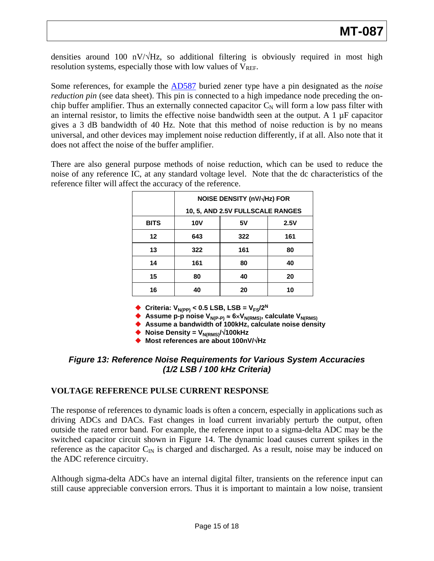densities around 100 nV/ $\sqrt{Hz}$ , so additional filtering is obviously required in most high resolution systems, especially those with low values of  $V_{REF}$ .

Some references, for example the [AD587](http://www.analog.com/en/other/militaryaerospace/ad587/products/product.html) buried zener type have a pin designated as the *noise reduction pin* (see data sheet). This pin is connected to a high impedance node preceding the onchip buffer amplifier. Thus an externally connected capacitor  $C<sub>N</sub>$  will form a low pass filter with an internal resistor, to limits the effective noise bandwidth seen at the output. A  $1 \mu$ F capacitor gives a 3 dB bandwidth of 40 Hz. Note that this method of noise reduction is by no means universal, and other devices may implement noise reduction differently, if at all. Also note that it does not affect the noise of the buffer amplifier.

There are also general purpose methods of noise reduction, which can be used to reduce the noise of any reference IC, at any standard voltage level. Note that the dc characteristics of the reference filter will affect the accuracy of the reference.

|             | <b>NOISE DENSITY (nV/√Hz) FOR</b> |     |      |  |  |
|-------------|-----------------------------------|-----|------|--|--|
|             | 10, 5, AND 2.5V FULLSCALE RANGES  |     |      |  |  |
| <b>BITS</b> | <b>10V</b>                        | 5٧  | 2.5V |  |  |
| $12 \,$     | 643                               | 322 | 161  |  |  |
| 13          | 322                               | 161 | 80   |  |  |
| 14          | 161                               | 80  | 40   |  |  |
| 15          | 80                                | 40  | 20   |  |  |
| 16          | 40                                | 20  | 10   |  |  |

**Criteria:**  $V_{N(PP)} < 0.5$  LSB, LSB =  $V_{FS}/2^N$ 

◆ Assume p-p noise V<sub>N(P-P)</sub> ≈ 6×V<sub>N(RMS)</sub>, calculate V<sub>N(RMS)</sub>

◆ Assume a bandwidth of 100kHz, calculate noise density

◆ Noise Density = V<sub>N(RMS)</sub>/√100kHz

**Most references are about 100nV/**√**Hz**

## *Figure 13: Reference Noise Requirements for Various System Accuracies (1/2 LSB / 100 kHz Criteria)*

## **VOLTAGE REFERENCE PULSE CURRENT RESPONSE**

The response of references to dynamic loads is often a concern, especially in applications such as driving ADCs and DACs. Fast changes in load current invariably perturb the output, often outside the rated error band. For example, the reference input to a sigma-delta ADC may be the switched capacitor circuit shown in Figure 14. The dynamic load causes current spikes in the reference as the capacitor  $C_{\text{IN}}$  is charged and discharged. As a result, noise may be induced on the ADC reference circuitry.

Although sigma-delta ADCs have an internal digital filter, transients on the reference input can still cause appreciable conversion errors. Thus it is important to maintain a low noise, transient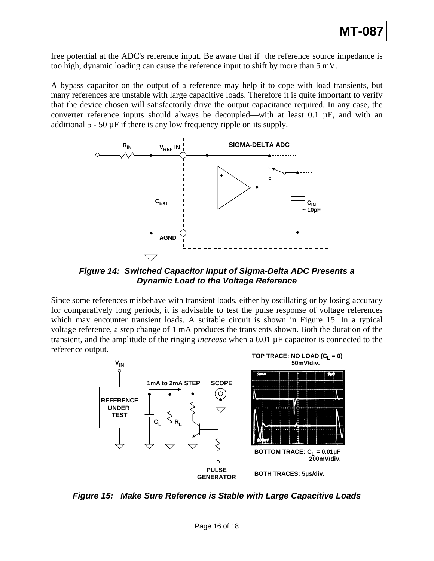free potential at the ADC's reference input. Be aware that if the reference source impedance is too high, dynamic loading can cause the reference input to shift by more than 5 mV.

A bypass capacitor on the output of a reference may help it to cope with load transients, but many references are unstable with large capacitive loads. Therefore it is quite important to verify that the device chosen will satisfactorily drive the output capacitance required. In any case, the converter reference inputs should always be decoupled—with at least  $0.1 \mu F$ , and with an additional  $5 - 50 \mu$ F if there is any low frequency ripple on its supply.



*Figure 14: Switched Capacitor Input of Sigma-Delta ADC Presents a Dynamic Load to the Voltage Reference* 

Since some references misbehave with transient loads, either by oscillating or by losing accuracy for comparatively long periods, it is advisable to test the pulse response of voltage references which may encounter transient loads. A suitable circuit is shown in Figure 15. In a typical voltage reference, a step change of 1 mA produces the transients shown. Both the duration of the transient, and the amplitude of the ringing *increase* when a 0.01 µF capacitor is connected to the reference output.



*Figure 15: Make Sure Reference is Stable with Large Capacitive Loads*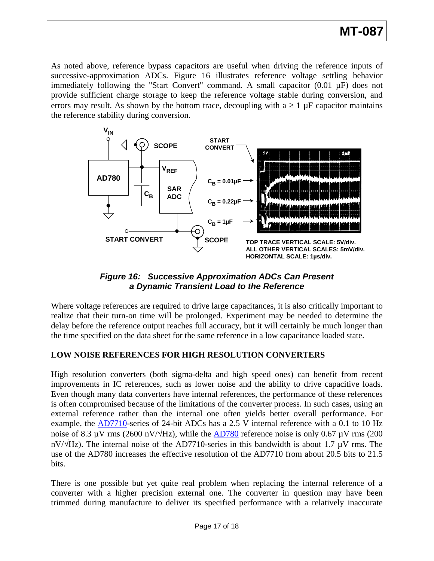# **MT-087**

As noted above, reference bypass capacitors are useful when driving the reference inputs of successive-approximation ADCs. Figure 16 illustrates reference voltage settling behavior immediately following the "Start Convert" command. A small capacitor (0.01 µF) does not provide sufficient charge storage to keep the reference voltage stable during conversion, and errors may result. As shown by the bottom trace, decoupling with  $a \ge 1 \mu F$  capacitor maintains the reference stability during conversion.



*Figure 16: Successive Approximation ADCs Can Present a Dynamic Transient Load to the Reference* 

Where voltage references are required to drive large capacitances, it is also critically important to realize that their turn-on time will be prolonged. Experiment may be needed to determine the delay before the reference output reaches full accuracy, but it will certainly be much longer than the time specified on the data sheet for the same reference in a low capacitance loaded state.

## **LOW NOISE REFERENCES FOR HIGH RESOLUTION CONVERTERS**

High resolution converters (both sigma-delta and high speed ones) can benefit from recent improvements in IC references, such as lower noise and the ability to drive capacitive loads. Even though many data converters have internal references, the performance of these references is often compromised because of the limitations of the converter process. In such cases, using an external reference rather than the internal one often yields better overall performance. For example, the [AD7710](http://www.analog.com/en/other/militaryaerospace/ad7710/products/product.html)-series of 24-bit ADCs has a 2.5 V internal reference with a 0.1 to 10 Hz noise of 8.3  $\mu$ V rms (2600 nV/ $\sqrt{Hz}$ ), while the [AD780](http://www.analog.com/en/other/militaryaerospace/ad780/products/product.html) reference noise is only 0.67  $\mu$ V rms (200 nV/ $\sqrt{Hz}$ ). The internal noise of the AD7710-series in this bandwidth is about 1.7  $\mu$ V rms. The use of the AD780 increases the effective resolution of the AD7710 from about 20.5 bits to 21.5 bits.

There is one possible but yet quite real problem when replacing the internal reference of a converter with a higher precision external one. The converter in question may have been trimmed during manufacture to deliver its specified performance with a relatively inaccurate